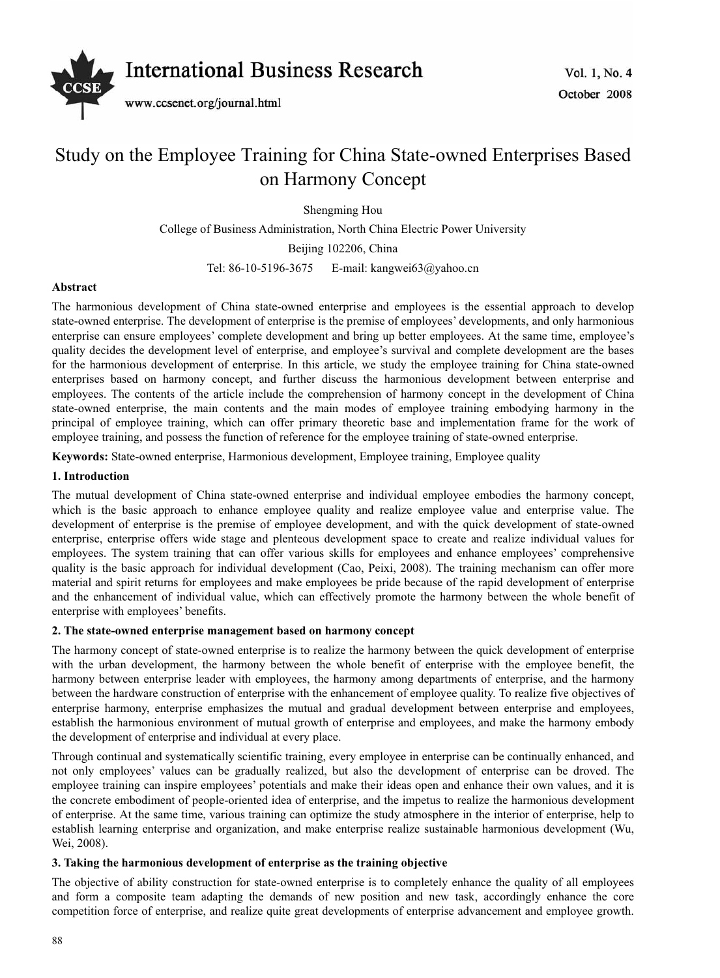

# Study on the Employee Training for China State-owned Enterprises Based on Harmony Concept

Shengming Hou

College of Business Administration, North China Electric Power University

Beijing 102206, China

Tel: 86-10-5196-3675 E-mail: kangwei63@yahoo.cn

# **Abstract**

The harmonious development of China state-owned enterprise and employees is the essential approach to develop state-owned enterprise. The development of enterprise is the premise of employees' developments, and only harmonious enterprise can ensure employees' complete development and bring up better employees. At the same time, employee's quality decides the development level of enterprise, and employee's survival and complete development are the bases for the harmonious development of enterprise. In this article, we study the employee training for China state-owned enterprises based on harmony concept, and further discuss the harmonious development between enterprise and employees. The contents of the article include the comprehension of harmony concept in the development of China state-owned enterprise, the main contents and the main modes of employee training embodying harmony in the principal of employee training, which can offer primary theoretic base and implementation frame for the work of employee training, and possess the function of reference for the employee training of state-owned enterprise.

**Keywords:** State-owned enterprise, Harmonious development, Employee training, Employee quality

## **1. Introduction**

The mutual development of China state-owned enterprise and individual employee embodies the harmony concept, which is the basic approach to enhance employee quality and realize employee value and enterprise value. The development of enterprise is the premise of employee development, and with the quick development of state-owned enterprise, enterprise offers wide stage and plenteous development space to create and realize individual values for employees. The system training that can offer various skills for employees and enhance employees' comprehensive quality is the basic approach for individual development (Cao, Peixi, 2008). The training mechanism can offer more material and spirit returns for employees and make employees be pride because of the rapid development of enterprise and the enhancement of individual value, which can effectively promote the harmony between the whole benefit of enterprise with employees' benefits.

# **2. The state-owned enterprise management based on harmony concept**

The harmony concept of state-owned enterprise is to realize the harmony between the quick development of enterprise with the urban development, the harmony between the whole benefit of enterprise with the employee benefit, the harmony between enterprise leader with employees, the harmony among departments of enterprise, and the harmony between the hardware construction of enterprise with the enhancement of employee quality. To realize five objectives of enterprise harmony, enterprise emphasizes the mutual and gradual development between enterprise and employees, establish the harmonious environment of mutual growth of enterprise and employees, and make the harmony embody the development of enterprise and individual at every place.

Through continual and systematically scientific training, every employee in enterprise can be continually enhanced, and not only employees' values can be gradually realized, but also the development of enterprise can be droved. The employee training can inspire employees' potentials and make their ideas open and enhance their own values, and it is the concrete embodiment of people-oriented idea of enterprise, and the impetus to realize the harmonious development of enterprise. At the same time, various training can optimize the study atmosphere in the interior of enterprise, help to establish learning enterprise and organization, and make enterprise realize sustainable harmonious development (Wu, Wei, 2008).

## **3. Taking the harmonious development of enterprise as the training objective**

The objective of ability construction for state-owned enterprise is to completely enhance the quality of all employees and form a composite team adapting the demands of new position and new task, accordingly enhance the core competition force of enterprise, and realize quite great developments of enterprise advancement and employee growth.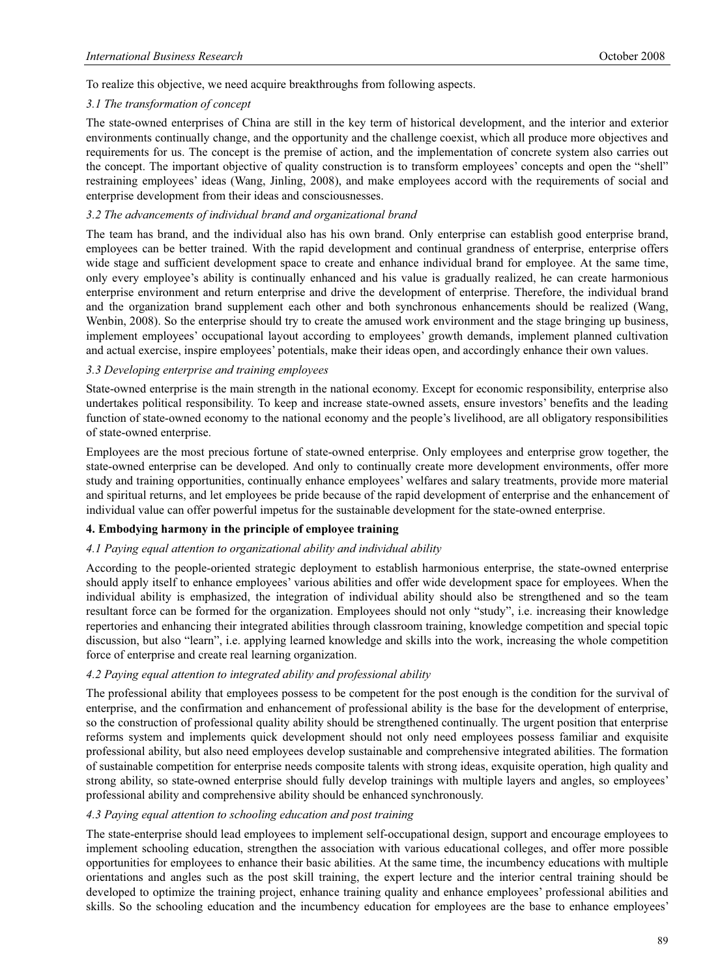To realize this objective, we need acquire breakthroughs from following aspects.

## *3.1 The transformation of concept*

The state-owned enterprises of China are still in the key term of historical development, and the interior and exterior environments continually change, and the opportunity and the challenge coexist, which all produce more objectives and requirements for us. The concept is the premise of action, and the implementation of concrete system also carries out the concept. The important objective of quality construction is to transform employees' concepts and open the "shell" restraining employees' ideas (Wang, Jinling, 2008), and make employees accord with the requirements of social and enterprise development from their ideas and consciousnesses.

## *3.2 The advancements of individual brand and organizational brand*

The team has brand, and the individual also has his own brand. Only enterprise can establish good enterprise brand, employees can be better trained. With the rapid development and continual grandness of enterprise, enterprise offers wide stage and sufficient development space to create and enhance individual brand for employee. At the same time, only every employee's ability is continually enhanced and his value is gradually realized, he can create harmonious enterprise environment and return enterprise and drive the development of enterprise. Therefore, the individual brand and the organization brand supplement each other and both synchronous enhancements should be realized (Wang, Wenbin, 2008). So the enterprise should try to create the amused work environment and the stage bringing up business, implement employees' occupational layout according to employees' growth demands, implement planned cultivation and actual exercise, inspire employees' potentials, make their ideas open, and accordingly enhance their own values.

## *3.3 Developing enterprise and training employees*

State-owned enterprise is the main strength in the national economy. Except for economic responsibility, enterprise also undertakes political responsibility. To keep and increase state-owned assets, ensure investors' benefits and the leading function of state-owned economy to the national economy and the people's livelihood, are all obligatory responsibilities of state-owned enterprise.

Employees are the most precious fortune of state-owned enterprise. Only employees and enterprise grow together, the state-owned enterprise can be developed. And only to continually create more development environments, offer more study and training opportunities, continually enhance employees' welfares and salary treatments, provide more material and spiritual returns, and let employees be pride because of the rapid development of enterprise and the enhancement of individual value can offer powerful impetus for the sustainable development for the state-owned enterprise.

## **4. Embodying harmony in the principle of employee training**

## *4.1 Paying equal attention to organizational ability and individual ability*

According to the people-oriented strategic deployment to establish harmonious enterprise, the state-owned enterprise should apply itself to enhance employees' various abilities and offer wide development space for employees. When the individual ability is emphasized, the integration of individual ability should also be strengthened and so the team resultant force can be formed for the organization. Employees should not only "study", i.e. increasing their knowledge repertories and enhancing their integrated abilities through classroom training, knowledge competition and special topic discussion, but also "learn", i.e. applying learned knowledge and skills into the work, increasing the whole competition force of enterprise and create real learning organization.

## *4.2 Paying equal attention to integrated ability and professional ability*

The professional ability that employees possess to be competent for the post enough is the condition for the survival of enterprise, and the confirmation and enhancement of professional ability is the base for the development of enterprise, so the construction of professional quality ability should be strengthened continually. The urgent position that enterprise reforms system and implements quick development should not only need employees possess familiar and exquisite professional ability, but also need employees develop sustainable and comprehensive integrated abilities. The formation of sustainable competition for enterprise needs composite talents with strong ideas, exquisite operation, high quality and strong ability, so state-owned enterprise should fully develop trainings with multiple layers and angles, so employees' professional ability and comprehensive ability should be enhanced synchronously.

# *4.3 Paying equal attention to schooling education and post training*

The state-enterprise should lead employees to implement self-occupational design, support and encourage employees to implement schooling education, strengthen the association with various educational colleges, and offer more possible opportunities for employees to enhance their basic abilities. At the same time, the incumbency educations with multiple orientations and angles such as the post skill training, the expert lecture and the interior central training should be developed to optimize the training project, enhance training quality and enhance employees' professional abilities and skills. So the schooling education and the incumbency education for employees are the base to enhance employees'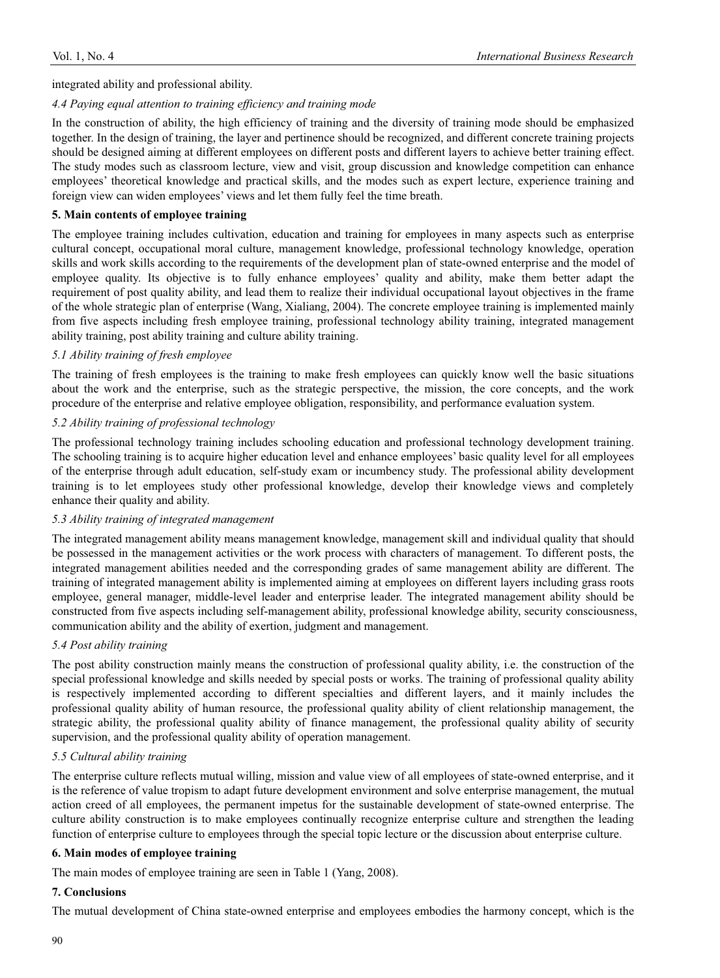integrated ability and professional ability.

## *4.4 Paying equal attention to training efficiency and training mode*

In the construction of ability, the high efficiency of training and the diversity of training mode should be emphasized together. In the design of training, the layer and pertinence should be recognized, and different concrete training projects should be designed aiming at different employees on different posts and different layers to achieve better training effect. The study modes such as classroom lecture, view and visit, group discussion and knowledge competition can enhance employees' theoretical knowledge and practical skills, and the modes such as expert lecture, experience training and foreign view can widen employees' views and let them fully feel the time breath.

# **5. Main contents of employee training**

The employee training includes cultivation, education and training for employees in many aspects such as enterprise cultural concept, occupational moral culture, management knowledge, professional technology knowledge, operation skills and work skills according to the requirements of the development plan of state-owned enterprise and the model of employee quality. Its objective is to fully enhance employees' quality and ability, make them better adapt the requirement of post quality ability, and lead them to realize their individual occupational layout objectives in the frame of the whole strategic plan of enterprise (Wang, Xialiang, 2004). The concrete employee training is implemented mainly from five aspects including fresh employee training, professional technology ability training, integrated management ability training, post ability training and culture ability training.

## *5.1 Ability training of fresh employee*

The training of fresh employees is the training to make fresh employees can quickly know well the basic situations about the work and the enterprise, such as the strategic perspective, the mission, the core concepts, and the work procedure of the enterprise and relative employee obligation, responsibility, and performance evaluation system.

## *5.2 Ability training of professional technology*

The professional technology training includes schooling education and professional technology development training. The schooling training is to acquire higher education level and enhance employees' basic quality level for all employees of the enterprise through adult education, self-study exam or incumbency study. The professional ability development training is to let employees study other professional knowledge, develop their knowledge views and completely enhance their quality and ability.

## *5.3 Ability training of integrated management*

The integrated management ability means management knowledge, management skill and individual quality that should be possessed in the management activities or the work process with characters of management. To different posts, the integrated management abilities needed and the corresponding grades of same management ability are different. The training of integrated management ability is implemented aiming at employees on different layers including grass roots employee, general manager, middle-level leader and enterprise leader. The integrated management ability should be constructed from five aspects including self-management ability, professional knowledge ability, security consciousness, communication ability and the ability of exertion, judgment and management.

# *5.4 Post ability training*

The post ability construction mainly means the construction of professional quality ability, i.e. the construction of the special professional knowledge and skills needed by special posts or works. The training of professional quality ability is respectively implemented according to different specialties and different layers, and it mainly includes the professional quality ability of human resource, the professional quality ability of client relationship management, the strategic ability, the professional quality ability of finance management, the professional quality ability of security supervision, and the professional quality ability of operation management.

# *5.5 Cultural ability training*

The enterprise culture reflects mutual willing, mission and value view of all employees of state-owned enterprise, and it is the reference of value tropism to adapt future development environment and solve enterprise management, the mutual action creed of all employees, the permanent impetus for the sustainable development of state-owned enterprise. The culture ability construction is to make employees continually recognize enterprise culture and strengthen the leading function of enterprise culture to employees through the special topic lecture or the discussion about enterprise culture.

## **6. Main modes of employee training**

The main modes of employee training are seen in Table 1 (Yang, 2008).

## **7. Conclusions**

The mutual development of China state-owned enterprise and employees embodies the harmony concept, which is the